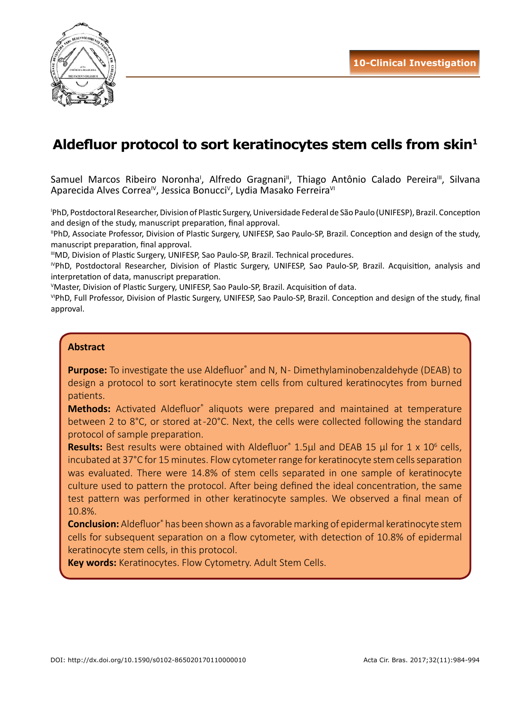

# **Aldefluor protocol to sort keratinocytes stem cells from skin 1**

Samuel Marcos Ribeiro Noronha<sup>i</sup>, Alfredo Gragnani<sup>ii</sup>, Thiago Antônio Calado Pereira<sup>ii</sup>, Silvana Aparecida Alves Correa<sup>iv</sup>, Jessica Bonucci<sup>v</sup>, Lydia Masako Ferreira<sup>vi</sup>

I PhD, Postdoctoral Researcher, Division of Plastic Surgery, Universidade Federal de São Paulo (UNIFESP), Brazil. Conception and design of the study, manuscript preparation, final approval.

IIPhD, Associate Professor, Division of Plastic Surgery, UNIFESP, Sao Paulo-SP, Brazil. Conception and design of the study, manuscript preparation, final approval.

"MD, Division of Plastic Surgery, UNIFESP, Sao Paulo-SP, Brazil. Technical procedures.

IVPhD, Postdoctoral Researcher, Division of Plastic Surgery, UNIFESP, Sao Paulo-SP, Brazil. Acquisition, analysis and interpretation of data, manuscript preparation.

V Master, Division of Plastic Surgery, UNIFESP, Sao Paulo-SP, Brazil. Acquisition of data.

VPhD, Full Professor, Division of Plastic Surgery, UNIFESP, Sao Paulo-SP, Brazil. Conception and design of the study, final approval.

#### **Abstract**

Purpose: To investigate the use Aldefluor<sup>®</sup> and N, N- Dimethylaminobenzaldehyde (DEAB) to design a protocol to sort keratinocyte stem cells from cultured keratinocytes from burned patients.

Methods: Activated Aldefluor<sup>®</sup> aliquots were prepared and maintained at temperature between 2 to 8°C, or stored at -20°C. Next, the cells were collected following the standard protocol of sample preparation.

Results: Best results were obtained with Aldefluor<sup>®</sup> 1.5µl and DEAB 15 µl for 1 x 10<sup>6</sup> cells, incubated at 37°C for 15 minutes. Flow cytometer range for keratinocyte stem cells separation was evaluated. There were 14.8% of stem cells separated in one sample of keratinocyte culture used to pattern the protocol. After being defined the ideal concentration, the same test pattern was performed in other keratinocyte samples. We observed a final mean of 10.8%.

Conclusion: Aldefluor<sup>®</sup> has been shown as a favorable marking of epidermal keratinocyte stem cells for subsequent separation on a flow cytometer, with detection of 10.8% of epidermal keratinocyte stem cells, in this protocol.

**Key words:** Keratinocytes. Flow Cytometry. Adult Stem Cells.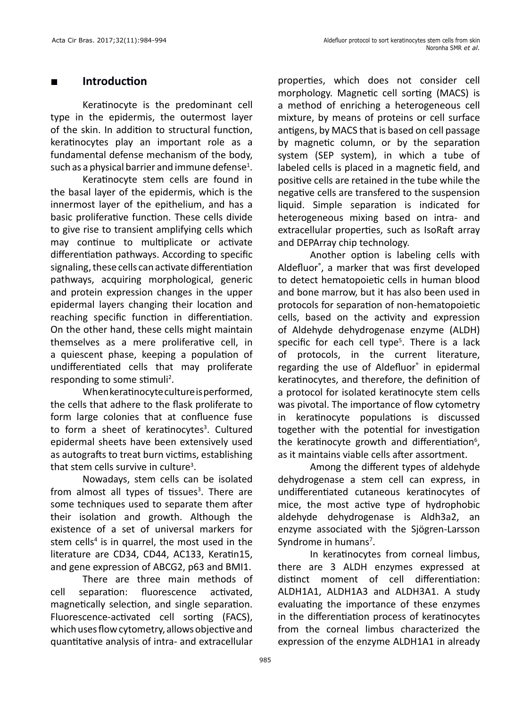#### **■ Introduction**

Keratinocyte is the predominant cell type in the epidermis, the outermost layer of the skin. In addition to structural function, keratinocytes play an important role as a fundamental defense mechanism of the body, such as a physical barrier and immune defense $^{\rm 1}.$ 

Keratinocyte stem cells are found in the basal layer of the epidermis, which is the innermost layer of the epithelium, and has a basic proliferative function. These cells divide to give rise to transient amplifying cells which may continue to multiplicate or activate differentiation pathways. According to specific signaling, these cells can activate differentiation pathways, acquiring morphological, generic and protein expression changes in the upper epidermal layers changing their location and reaching specific function in differentiation. On the other hand, these cells might maintain themselves as a mere proliferative cell, in a quiescent phase, keeping a population of undifferentiated cells that may proliferate responding to some stimuli<sup>2</sup>.

When keratinocyte culture is performed, the cells that adhere to the flask proliferate to form large colonies that at confluence fuse to form a sheet of keratinocytes<sup>3</sup>. Cultured epidermal sheets have been extensively used as autografts to treat burn victims, establishing that stem cells survive in culture<sup>3</sup>.

Nowadays, stem cells can be isolated from almost all types of tissues<sup>3</sup>. There are some techniques used to separate them after their isolation and growth. Although the existence of a set of universal markers for stem cells<sup>4</sup> is in quarrel, the most used in the literature are CD34, CD44, AC133, Keratin15, and gene expression of ABCG2, p63 and BMI1.

There are three main methods of cell separation: fluorescence activated, magnetically selection, and single separation. Fluorescence-activated cell sorting (FACS), which uses flow cytometry, allows objective and quantitative analysis of intra- and extracellular properties, which does not consider cell morphology. Magnetic cell sorting (MACS) is a method of enriching a heterogeneous cell mixture, by means of proteins or cell surface antigens, by MACS that is based on cell passage by magnetic column, or by the separation system (SEP system), in which a tube of labeled cells is placed in a magnetic field, and positive cells are retained in the tube while the negative cells are transfered to the suspension liquid. Simple separation is indicated for heterogeneous mixing based on intra- and extracellular properties, such as IsoRaft array and DEPArray chip technology.

Another option is labeling cells with Aldefluor® , a marker that was first developed to detect hematopoietic cells in human blood and bone marrow, but it has also been used in protocols for separation of non-hematopoietic cells, based on the activity and expression of Aldehyde dehydrogenase enzyme (ALDH) specific for each cell type<sup>5</sup>. There is a lack of protocols, in the current literature, regarding the use of Aldefluor® in epidermal keratinocytes, and therefore, the definition of a protocol for isolated keratinocyte stem cells was pivotal. The importance of flow cytometry in keratinocyte populations is discussed together with the potential for investigation the keratinocyte growth and differentiation<sup>6</sup>, as it maintains viable cells after assortment.

Among the different types of aldehyde dehydrogenase a stem cell can express, in undifferentiated cutaneous keratinocytes of mice, the most active type of hydrophobic aldehyde dehydrogenase is Aldh3a2, an enzyme associated with the Sjögren-Larsson Syndrome in humans<sup>7</sup>.

In keratinocytes from corneal limbus, there are 3 ALDH enzymes expressed at distinct moment of cell differentiation: ALDH1A1, ALDH1A3 and ALDH3A1. A study evaluating the importance of these enzymes in the differentiation process of keratinocytes from the corneal limbus characterized the expression of the enzyme ALDH1A1 in already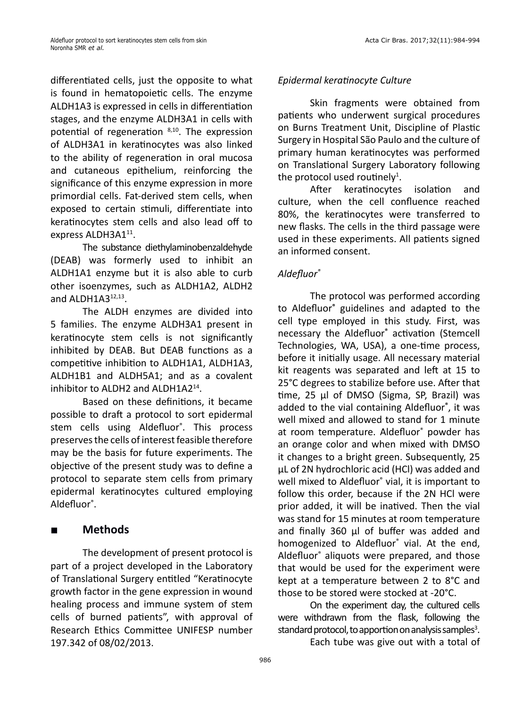differentiated cells, just the opposite to what is found in hematopoietic cells. The enzyme ALDH1A3 is expressed in cells in differentiation stages, and the enzyme ALDH3A1 in cells with potential of regeneration 8,10. The expression of ALDH3A1 in keratinocytes was also linked to the ability of regeneration in oral mucosa and cutaneous epithelium, reinforcing the significance of this enzyme expression in more primordial cells. Fat-derived stem cells, when exposed to certain stimuli, differentiate into keratinocytes stem cells and also lead off to express ALDH3A1<sup>11</sup>.

The substance diethylaminobenzaldehyde (DEAB) was formerly used to inhibit an ALDH1A1 enzyme but it is also able to curb other isoenzymes, such as ALDH1A2, ALDH2 and ALDH $1A3^{12,13}$ .

The ALDH enzymes are divided into 5 families. The enzyme ALDH3A1 present in keratinocyte stem cells is not significantly inhibited by DEAB. But DEAB functions as a competitive inhibition to ALDH1A1, ALDH1A3, ALDH1B1 and ALDH5A1; and as a covalent inhibitor to ALDH2 and ALDH1A214.

Based on these definitions, it became possible to draft a protocol to sort epidermal stem cells using Aldefluor® . This process preserves the cells of interest feasible therefore may be the basis for future experiments. The objective of the present study was to define a protocol to separate stem cells from primary epidermal keratinocytes cultured employing Aldefluor®.

# **■ Methods**

The development of present protocol is part of a project developed in the Laboratory of Translational Surgery entitled "Keratinocyte growth factor in the gene expression in wound healing process and immune system of stem cells of burned patients", with approval of Research Ethics Committee UNIFESP number 197.342 of 08/02/2013.

#### *Epidermal keratinocyte Culture*

Skin fragments were obtained from patients who underwent surgical procedures on Burns Treatment Unit, Discipline of Plastic Surgery in Hospital São Paulo and the culture of primary human keratinocytes was performed on Translational Surgery Laboratory following the protocol used routinely<sup>1</sup>.

After keratinocytes isolation and culture, when the cell confluence reached 80%, the keratinocytes were transferred to new flasks. The cells in the third passage were used in these experiments. All patients signed an informed consent.

### *Aldefluor®*

The protocol was performed according to Aldefluor**®** guidelines and adapted to the cell type employed in this study. First, was necessary the Aldefluor**®** activation (Stemcell Technologies, WA, USA), a one-time process, before it initially usage. All necessary material kit reagents was separated and left at 15 to 25°C degrees to stabilize before use. After that time, 25 μl of DMSO (Sigma, SP, Brazil) was added to the vial containing Aldefluor**®** , it was well mixed and allowed to stand for 1 minute at room temperature. Aldefluor® powder has an orange color and when mixed with DMSO it changes to a bright green. Subsequently, 25 μL of 2N hydrochloric acid (HCl) was added and well mixed to Aldefluor<sup>®</sup> vial, it is important to follow this order, because if the 2N HCl were prior added, it will be inatived. Then the vial was stand for 15 minutes at room temperature and finally 360 μl of buffer was added and homogenized to Aldefluor<sup>®</sup> vial. At the end, Aldefluor® aliquots were prepared, and those that would be used for the experiment were kept at a temperature between 2 to 8°C and those to be stored were stocked at -20°C.

On the experiment day, the cultured cells were withdrawn from the flask, following the standard protocol, to apportion on analysis samples<sup>3</sup>.

Each tube was give out with a total of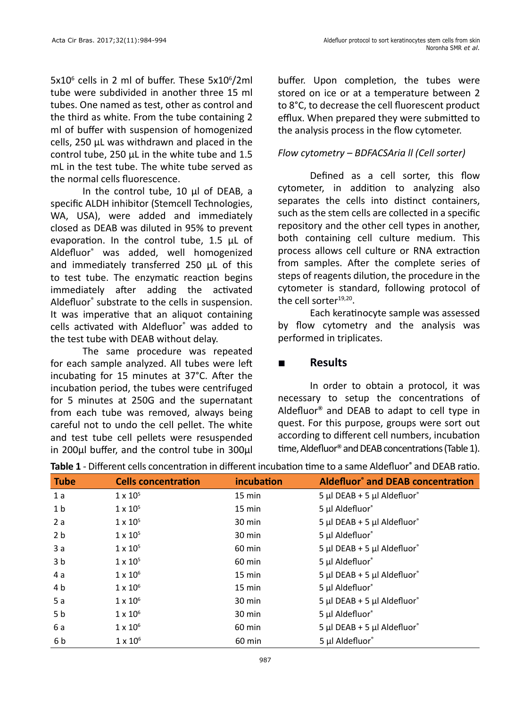$5x10^6$  cells in 2 ml of buffer. These  $5x10^6/2$ ml tube were subdivided in another three 15 ml tubes. One named as test, other as control and the third as white. From the tube containing 2 ml of buffer with suspension of homogenized cells, 250 μL was withdrawn and placed in the control tube, 250 μL in the white tube and 1.5 mL in the test tube. The white tube served as the normal cells fluorescence.

In the control tube, 10 μl of DEAB, a specific ALDH inhibitor (Stemcell Technologies, WA, USA), were added and immediately closed as DEAB was diluted in 95% to prevent evaporation. In the control tube, 1.5 μL of Aldefluor® was added, well homogenized and immediately transferred 250 μL of this to test tube. The enzymatic reaction begins immediately after adding the activated Aldefluor® substrate to the cells in suspension. It was imperative that an aliquot containing cells activated with Aldefluor® was added to the test tube with DEAB without delay.

The same procedure was repeated for each sample analyzed. All tubes were left incubating for 15 minutes at 37°C. After the incubation period, the tubes were centrifuged for 5 minutes at 250G and the supernatant from each tube was removed, always being careful not to undo the cell pellet. The white and test tube cell pellets were resuspended in 200μl buffer, and the control tube in 300μl buffer. Upon completion, the tubes were stored on ice or at a temperature between 2 to 8°C, to decrease the cell fluorescent product efflux. When prepared they were submitted to the analysis process in the flow cytometer.

#### *Flow cytometry – BDFACSAria ll (Cell sorter)*

Defined as a cell sorter, this flow cytometer, in addition to analyzing also separates the cells into distinct containers, such as the stem cells are collected in a specific repository and the other cell types in another, both containing cell culture medium. This process allows cell culture or RNA extraction from samples. After the complete series of steps of reagents dilution, the procedure in the cytometer is standard, following protocol of the cell sorter<sup>19,20</sup>.

Each keratinocyte sample was assessed by flow cytometry and the analysis was performed in triplicates.

## **■ Results**

In order to obtain a protocol, it was necessary to setup the concentrations of Aldefluor**®** and DEAB to adapt to cell type in quest. For this purpose, groups were sort out according to different cell numbers, incubation time, Aldefluor**®** and DEAB concentrations (Table 1).

| <b>Tube</b>    | <b>Cells concentration</b> | incubation       | <b>Aldefluor</b> <sup>®</sup> and DEAB concentration |
|----------------|----------------------------|------------------|------------------------------------------------------|
| 1a             | $1 \times 10^{5}$          | $15 \text{ min}$ | 5 µl DEAB + 5 µl Aldefluor $\degree$                 |
| 1 <sub>b</sub> | $1 \times 10^{5}$          | $15 \text{ min}$ | 5 µl Aldefluor®                                      |
| 2a             | $1 \times 10^{5}$          | 30 min           | 5 µl DEAB + 5 µl Aldefluor®                          |
| 2 <sub>b</sub> | $1 \times 10^{5}$          | 30 min           | 5 µl Aldefluor®                                      |
| 3a             | $1 \times 10^{5}$          | 60 min           | 5 µl DEAB + 5 µl Aldefluor $\degree$                 |
| 3 <sub>b</sub> | $1 \times 10^{5}$          | 60 min           | 5 µl Aldefluor®                                      |
| 4 a            | $1 \times 10^6$            | $15 \text{ min}$ | 5 µl DEAB + 5 µl Aldefluor®                          |
| 4 b            | $1 \times 10^6$            | $15 \text{ min}$ | 5 µl Aldefluor®                                      |
| 5a             | $1 \times 10^6$            | 30 min           | 5 µl DEAB + 5 µl Aldefluor®                          |
| 5 <sub>b</sub> | $1 \times 10^6$            | 30 min           | 5 µl Aldefluor®                                      |
| 6 a            | $1 \times 10^6$            | 60 min           | 5 µl DEAB + 5 µl Aldefluor $\degree$                 |
| 6 b            | $1 \times 10^6$            | 60 min           | 5 µl Aldefluor®                                      |

**Table 1** - Different cells concentration in different incubation time to a same Aldefluor**®** and DEAB ratio.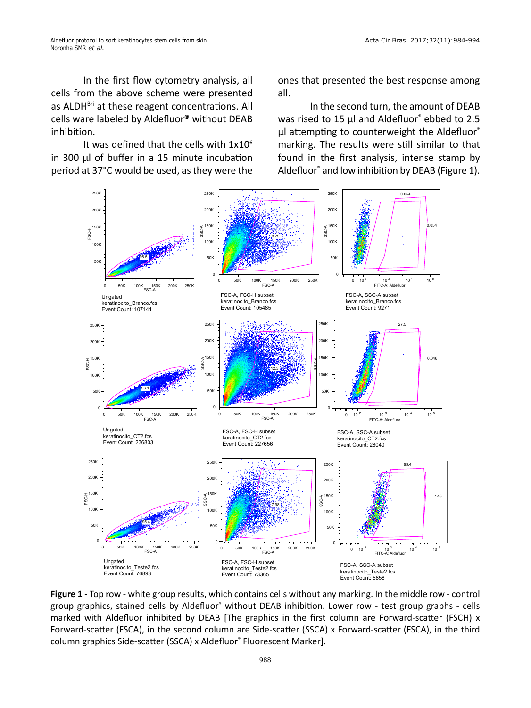In the first flow cytometry analysis, all cells from the above scheme were presented as ALDH<sup>Bri</sup> at these reagent concentrations. All cells ware labeled by Aldefluor**®** without DEAB inhibition.

It was defined that the cells with  $1x10<sup>6</sup>$ in 300 μl of buffer in a 15 minute incubation period at 37°C would be used, as they were the

ones that presented the best response among all.

In the second turn, the amount of DEAB was rised to 15 μl and Aldefluor<sup>®</sup> ebbed to 2.5 μl attempting to counterweight the Aldefluor® marking. The results were still similar to that found in the first analysis, intense stamp by Aldefluor® and low inhibition by DEAB (Figure 1).



**Figure 1 -** Top row - white group results, which contains cells without any marking. In the middle row - control group graphics, stained cells by Aldefluor® without DEAB inhibition. Lower row - test group graphs - cells marked with Aldefluor inhibited by DEAB [The graphics in the first column are Forward-scatter (FSCH) x Forward-scatter (FSCA), in the second column are Side-scatter (SSCA) x Forward-scatter (FSCA), in the third column graphics Side-scatter (SSCA) x Aldefluor® Fluorescent Marker].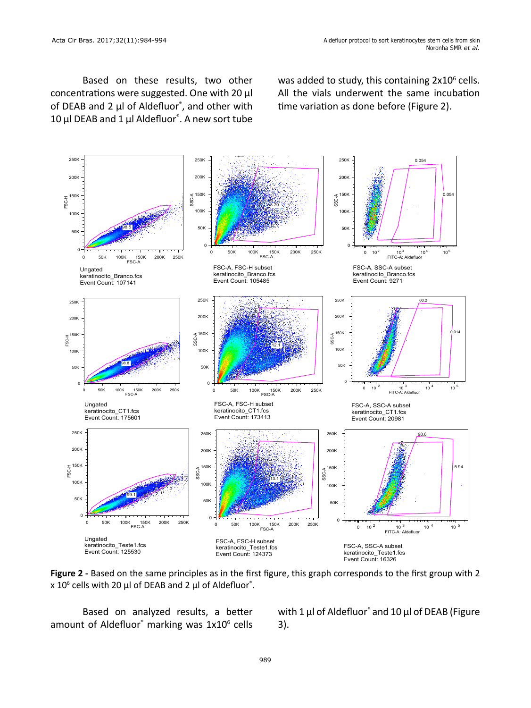Based on these results, two other concentrations were suggested. One with 20 μl of DEAB and 2 μl of Aldefluor® , and other with 10 μl DEAB and 1 μl Aldefluor® . A new sort tube

was added to study, this containing  $2x10^6$  cells. All the vials underwent the same incubation time variation as done before (Figure 2).



**Figure 2 -** Based on the same principles as in the first figure, this graph corresponds to the first group with 2 x 10<sup>6</sup> cells with 20 μl of DEAB and 2 μl of Aldefluor $^{\circ}$ .

Based on analyzed results, a better amount of Aldefluor<sup>®</sup> marking was 1x10<sup>6</sup> cells

with 1 μl of Aldefluor<sup>®</sup> and 10 μl of DEAB (Figure 3).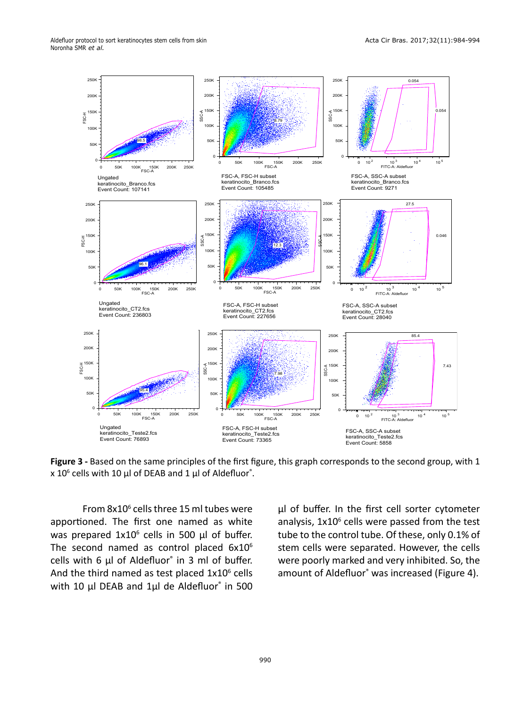

**Figure 3 -** Based on the same principles of the first figure, this graph corresponds to the second group, with 1 x 10<sup>6</sup> cells with 10 μl of DEAB and 1 μl of Aldefluor $\degree$ .

From 8x10<sup>6</sup> cells three 15 ml tubes were apportioned. The first one named as white was prepared  $1x10^6$  cells in 500  $\mu$ l of buffer. The second named as control placed 6x10<sup>6</sup> cells with 6 μl of Aldefluor® in 3 ml of buffer. And the third named as test placed  $1x10<sup>6</sup>$  cells with 10 μl DEAB and 1μl de Aldefluor<sup>®</sup> in 500 μl of buffer. In the first cell sorter cytometer analysis, 1x10<sup>6</sup> cells were passed from the test tube to the control tube. Of these, only 0.1% of stem cells were separated. However, the cells were poorly marked and very inhibited. So, the amount of Aldefluor® was increased (Figure 4).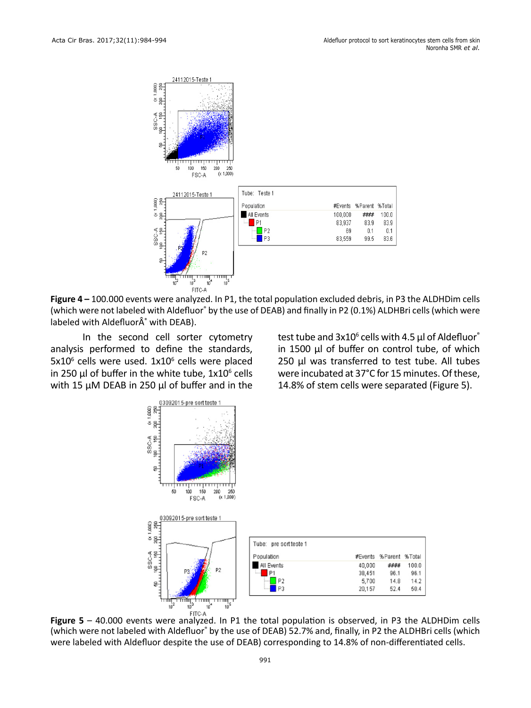

**Figure 4 –** 100.000 events were analyzed. In P1, the total population excluded debris, in P3 the ALDHDim cells (which were not labeled with Aldefluor<sup>®</sup> by the use of DEAB) and finally in P2 (0.1%) ALDHBri cells (which were labeled with Aldefluor® with DEAB).

In the second cell sorter cytometry analysis performed to define the standards, 5x10<sup>6</sup> cells were used. 1x10<sup>6</sup> cells were placed in 250  $\mu$ l of buffer in the white tube, 1x10 $^{\rm 6}$  cells with 15 μM DEAB in 250 μl of buffer and in the

test tube and  $3x10^6$  cells with 4.5  $\mu$ l of Aldefluor<sup>®</sup> in 1500 μl of buffer on control tube, of which 250 μl was transferred to test tube. All tubes were incubated at 37°C for 15 minutes. Of these, 14.8% of stem cells were separated (Figure 5).



FITC-A<br>**Figure 5** – 40.000 events were analyzed. In P1 the total population is observed, in P3 the ALDHDim cells (which were not labeled with Aldefluor<sup>®</sup> by the use of DEAB) 52.7% and, finally, in P2 the ALDHBri cells (which were labeled with Aldefluor despite the use of DEAB) corresponding to 14.8% of non-differentiated cells.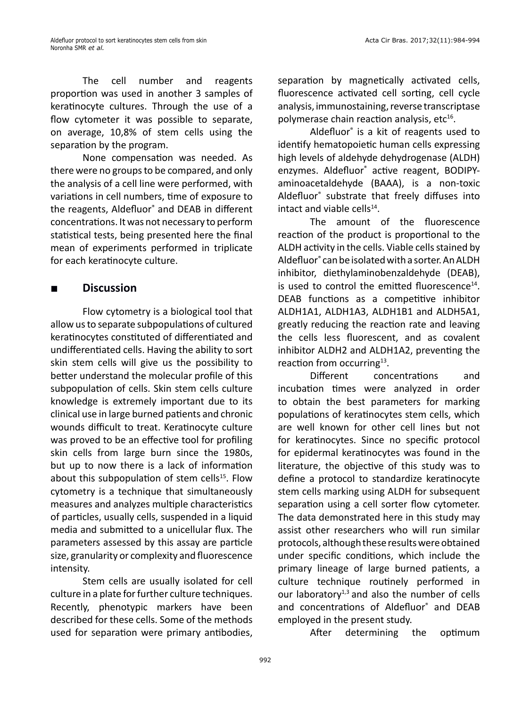The cell number and reagents proportion was used in another 3 samples of keratinocyte cultures. Through the use of a flow cytometer it was possible to separate, on average, 10,8% of stem cells using the separation by the program.

None compensation was needed. As there were no groups to be compared, and only the analysis of a cell line were performed, with variations in cell numbers, time of exposure to the reagents, Aldefluor® and DEAB in different concentrations. It was not necessary to perform statistical tests, being presented here the final mean of experiments performed in triplicate for each keratinocyte culture.

## **■ Discussion**

Flow cytometry is a biological tool that allow us to separate subpopulations of cultured keratinocytes constituted of differentiated and undifferentiated cells. Having the ability to sort skin stem cells will give us the possibility to better understand the molecular profile of this subpopulation of cells. Skin stem cells culture knowledge is extremely important due to its clinical use in large burned patients and chronic wounds difficult to treat. Keratinocyte culture was proved to be an effective tool for profiling skin cells from large burn since the 1980s, but up to now there is a lack of information about this subpopulation of stem cells<sup>15</sup>. Flow cytometry is a technique that simultaneously measures and analyzes multiple characteristics of particles, usually cells, suspended in a liquid media and submitted to a unicellular flux. The parameters assessed by this assay are particle size, granularity or complexity and fluorescence intensity.

Stem cells are usually isolated for cell culture in a plate for further culture techniques. Recently, phenotypic markers have been described for these cells. Some of the methods used for separation were primary antibodies, separation by magnetically activated cells, fluorescence activated cell sorting, cell cycle analysis, immunostaining, reverse transcriptase polymerase chain reaction analysis, etc $16$ .

Aldefluor® is a kit of reagents used to identify hematopoietic human cells expressing high levels of aldehyde dehydrogenase (ALDH) enzymes. Aldefluor® active reagent, BODIPYaminoacetaldehyde (BAAA), is a non-toxic Aldefluor® substrate that freely diffuses into intact and viable cells $^{14}$ .

The amount of the fluorescence reaction of the product is proportional to the ALDH activity in the cells. Viable cells stained by Aldefluor® can be isolated with a sorter. An ALDH inhibitor, diethylaminobenzaldehyde (DEAB), is used to control the emitted fluorescence<sup>14</sup>. DEAB functions as a competitive inhibitor ALDH1A1, ALDH1A3, ALDH1B1 and ALDH5A1, greatly reducing the reaction rate and leaving the cells less fluorescent, and as covalent inhibitor ALDH2 and ALDH1A2, preventing the reaction from occurring<sup>13</sup>.

Different concentrations and incubation times were analyzed in order to obtain the best parameters for marking populations of keratinocytes stem cells, which are well known for other cell lines but not for keratinocytes. Since no specific protocol for epidermal keratinocytes was found in the literature, the objective of this study was to define a protocol to standardize keratinocyte stem cells marking using ALDH for subsequent separation using a cell sorter flow cytometer. The data demonstrated here in this study may assist other researchers who will run similar protocols, although these results were obtained under specific conditions, which include the primary lineage of large burned patients, a culture technique routinely performed in our laboratory $1,3$  and also the number of cells and concentrations of Aldefluor® and DEAB employed in the present study.

After determining the optimum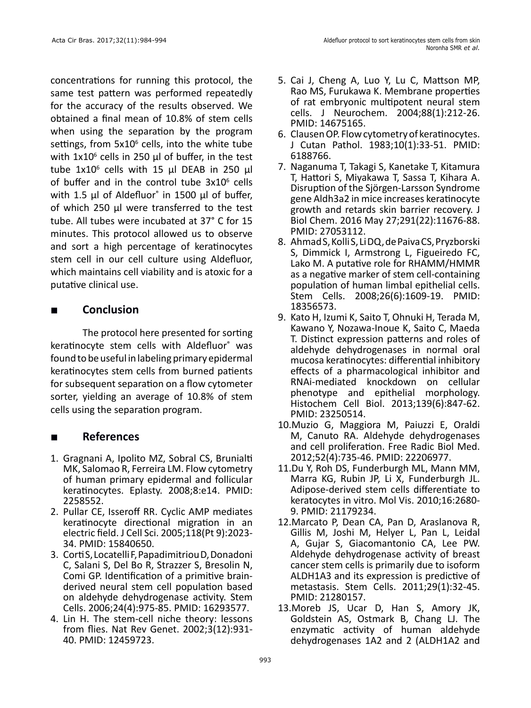concentrations for running this protocol, the same test pattern was performed repeatedly for the accuracy of the results observed. We obtained a final mean of 10.8% of stem cells when using the separation by the program settings, from 5x10<sup>6</sup> cells, into the white tube with 1x10 $^6$  cells in 250  $\mu$ l of buffer, in the test tube 1x10 $^6$  cells with 15 μl DEAB in 250 μl of buffer and in the control tube  $3x10^6$  cells with 1.5 μl of Aldefluor® in 1500 μl of buffer, of which 250 μl were transferred to the test tube. All tubes were incubated at 37° C for 15 minutes. This protocol allowed us to observe and sort a high percentage of keratinocytes stem cell in our cell culture using Aldefluor, which maintains cell viability and is atoxic for a putative clinical use.

# **■ Conclusion**

The protocol here presented for sorting keratinocyte stem cells with Aldefluor® was found to be useful in labeling primary epidermal keratinocytes stem cells from burned patients for subsequent separation on a flow cytometer sorter, yielding an average of 10.8% of stem cells using the separation program.

# **■ References**

- 1. Gragnani A, Ipolito MZ, Sobral CS, Brunialti MK, Salomao R, Ferreira LM. Flow cytometry of human primary epidermal and follicular keratinocytes. Eplasty. 2008;8:e14. PMID: 2258552.
- 2. Pullar CE, Isseroff RR. Cyclic AMP mediates keratinocyte directional migration in an electric field. J Cell Sci. 2005;118(Pt 9):2023- 34. PMID: 15840650.
- 3. Corti S, Locatelli F, Papadimitriou D, Donadoni C, Salani S, Del Bo R, Strazzer S, Bresolin N, Comi GP. Identification of a primitive brainderived neural stem cell population based on aldehyde dehydrogenase activity. Stem Cells. 2006;24(4):975-85. PMID: 16293577.
- 4. Lin H. The stem-cell niche theory: lessons from flies. Nat Rev Genet. 2002;3(12):931- 40. PMID: 12459723.
- 5. Cai J, Cheng A, Luo Y, Lu C, Mattson MP, Rao MS, Furukawa K. Membrane properties of rat embryonic multipotent neural stem cells. J Neurochem. 2004;88(1):212-26. PMID: 14675165.
- 6. Clausen OP. Flow cytometry of keratinocytes. J Cutan Pathol. 1983;10(1):33-51. PMID: 6188766.
- 7. Naganuma T, Takagi S, Kanetake T, Kitamura T, Hattori S, Miyakawa T, Sassa T, Kihara A. Disruption of the Sjörgen-Larsson Syndrome gene Aldh3a2 in mice increases keratinocyte growth and retards skin barrier recovery. J Biol Chem. 2016 May 27;291(22):11676-88. PMID: 27053112.
- 8. Ahmad S, Kolli S, Li DQ, de Paiva CS, Pryzborski S, Dimmick I, Armstrong L, Figueiredo FC, Lako M. A putative role for RHAMM/HMMR as a negative marker of stem cell-containing population of human limbal epithelial cells. Stem Cells. 2008;26(6):1609-19. PMID: 18356573.
- 9. Kato H, Izumi K, Saito T, Ohnuki H, Terada M, Kawano Y, Nozawa-Inoue K, Saito C, Maeda T. Distinct expression patterns and roles of aldehyde dehydrogenases in normal oral mucosa keratinocytes: differential inhibitory effects of a pharmacological inhibitor and RNAi-mediated knockdown on cellular phenotype and epithelial morphology. Histochem Cell Biol. 2013;139(6):847-62. PMID: 23250514.
- 10.Muzio G, Maggiora M, Paiuzzi E, Oraldi M, Canuto RA. Aldehyde dehydrogenases and cell proliferation. Free Radic Biol Med. 2012;52(4):735-46. PMID: 22206977.
- 11.Du Y, Roh DS, Funderburgh ML, Mann MM, Marra KG, Rubin JP, Li X, Funderburgh JL. Adipose-derived stem cells differentiate to keratocytes in vitro. Mol Vis. 2010;16:2680- 9. PMID: 21179234.
- 12.Marcato P, Dean CA, Pan D, Araslanova R, Gillis M, Joshi M, Helyer L, Pan L, Leidal A, Gujar S, Giacomantonio CA, Lee PW. Aldehyde dehydrogenase activity of breast cancer stem cells is primarily due to isoform ALDH1A3 and its expression is predictive of metastasis. Stem Cells. 2011;29(1):32-45. PMID: 21280157.
- 13.Moreb JS, Ucar D, Han S, Amory JK, Goldstein AS, Ostmark B, Chang LJ. The enzymatic activity of human aldehyde dehydrogenases 1A2 and 2 (ALDH1A2 and